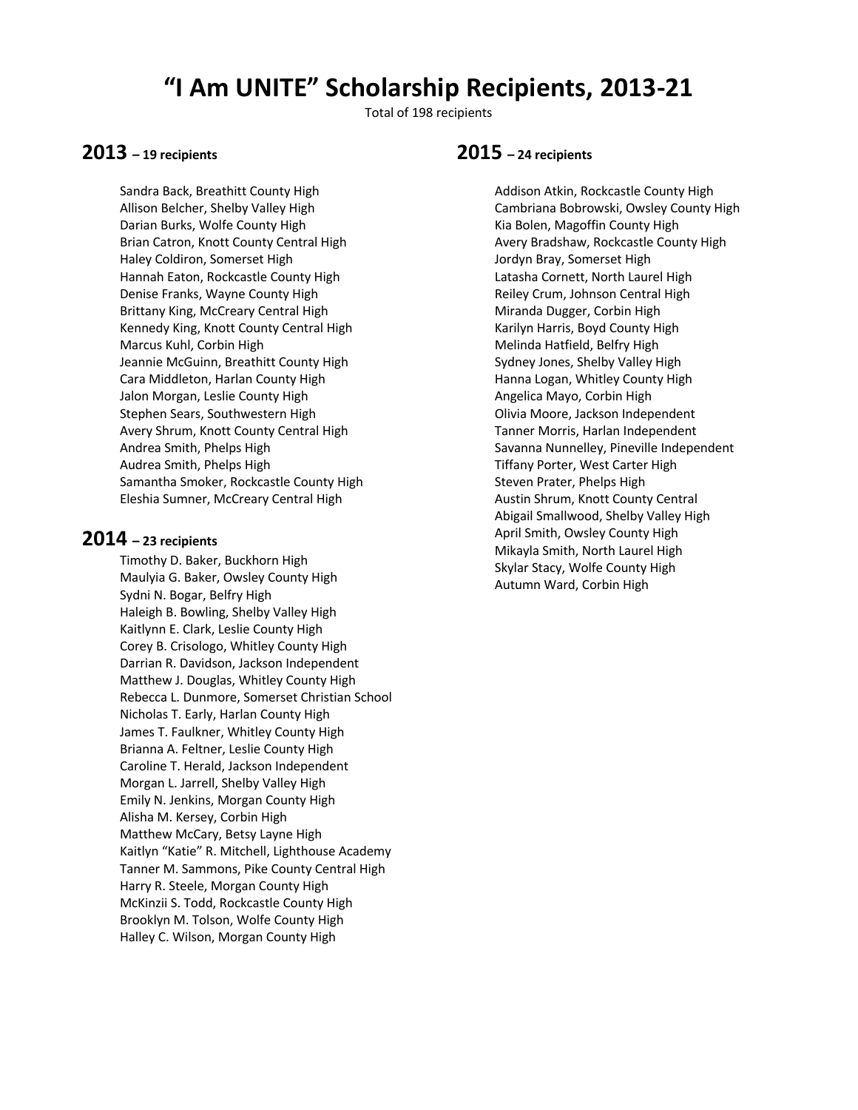# **"I Am UNITE" Scholarship Recipients, 2013-21**

Total of 198 recipients

## **2013 – <sup>19</sup> recipients**

Sandra Back, Breathitt County High Allison Belcher, Shelby Valley High Darian Burks, Wolfe County High Brian Catron, Knott County Central High Haley Coldiron, Somerset High Hannah Eaton, Rockcastle County High Denise Franks, Wayne County High Brittany King, McCreary Central High Kennedy King, Knott County Central High Marcus Kuhl, Corbin High Jeannie McGuinn, Breathitt County High Cara Middleton, Harlan County High Jalon Morgan, Leslie County High Stephen Sears, Southwestern High Avery Shrum, Knott County Central High Andrea Smith, Phelps High Audrea Smith, Phelps High Samantha Smoker, Rockcastle County High Eleshia Sumner, McCreary Central High

#### **2014 – <sup>23</sup> recipients**

Timothy D. Baker, Buckhorn High Maulyia G. Baker, Owsley County High Sydni N. Bogar, Belfry High Haleigh B. Bowling, Shelby Valley High Kaitlynn E. Clark, Leslie County High Corey B. Crisologo, Whitley County High Darrian R. Davidson, Jackson Independent Matthew J. Douglas, Whitley County High Rebecca L. Dunmore, Somerset Christian School Nicholas T. Early, Harlan County High James T. Faulkner, Whitley County High Brianna A. Feltner, Leslie County High Caroline T. Herald, Jackson Independent Morgan L. Jarrell, Shelby Valley High Emily N. Jenkins, Morgan County High Alisha M. Kersey, Corbin High Matthew McCary, Betsy Layne High Kaitlyn "Katie" R. Mitchell, Lighthouse Academy Tanner M. Sammons, Pike County Central High Harry R. Steele, Morgan County High McKinzii S. Todd, Rockcastle County High Brooklyn M. Tolson, Wolfe County High Halley C. Wilson, Morgan County High

#### **2015 – <sup>24</sup> recipients**

Addison Atkin, Rockcastle County High Cambriana Bobrowski, Owsley County High Kia Bolen, Magoffin County High Avery Bradshaw, Rockcastle County High Jordyn Bray, Somerset High Latasha Cornett, North Laurel High Reiley Crum, Johnson Central High Miranda Dugger, Corbin High Karilyn Harris, Boyd County High Melinda Hatfield, Belfry High Sydney Jones, Shelby Valley High Hanna Logan, Whitley County High Angelica Mayo, Corbin High Olivia Moore, Jackson Independent Tanner Morris, Harlan Independent Savanna Nunnelley, Pineville Independent Tiffany Porter, West Carter High Steven Prater, Phelps High Austin Shrum, Knott County Central Abigail Smallwood, Shelby Valley High April Smith, Owsley County High Mikayla Smith, North Laurel High Skylar Stacy, Wolfe County High Autumn Ward, Corbin High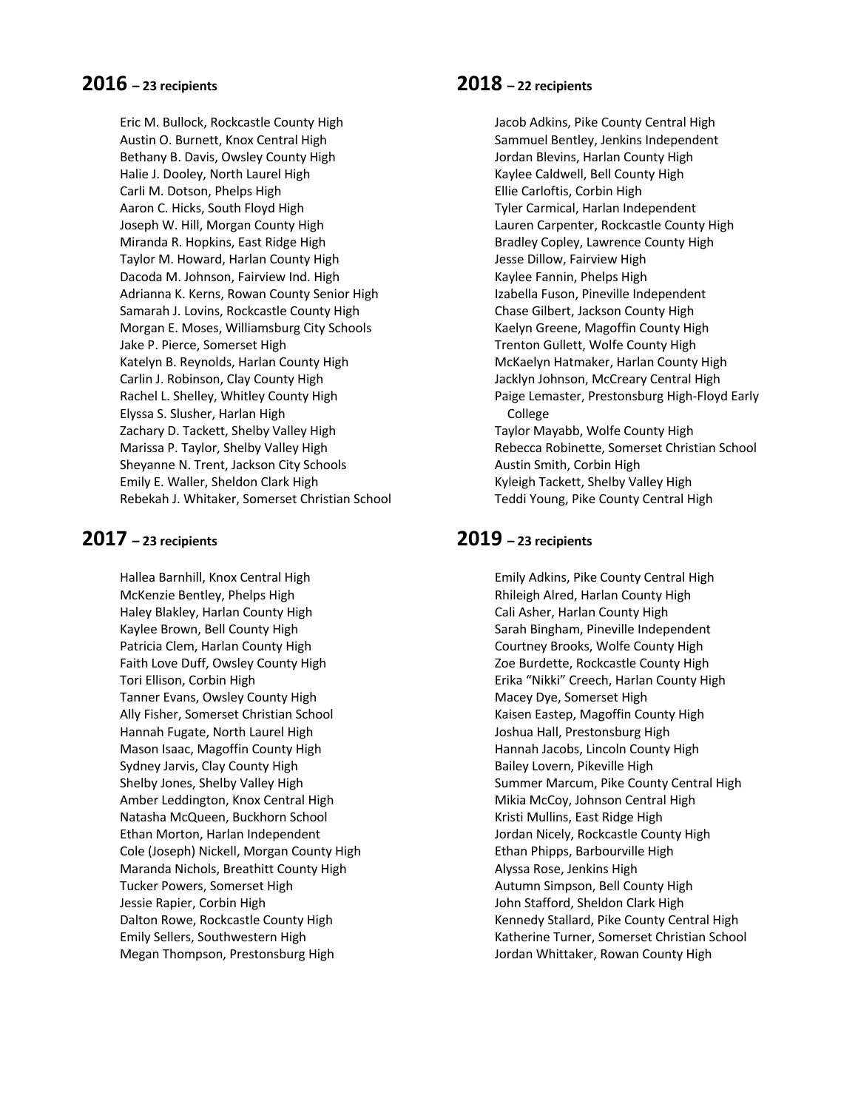#### **2016 – 23 recipients**

Eric M. Bullock, Rockcastle County High Austin O. Burnett, Knox Central High Bethany B. Davis, Owsley County High Halie J. Dooley, North Laurel High Carli M. Dotson, Phelps High Aaron C. Hicks, South Floyd High Joseph W. Hill, Morgan County High Miranda R. Hopkins, East Ridge High Taylor M. Howard, Harlan County High Dacoda M. Johnson, Fairview Ind. High Adrianna K. Kerns, Rowan County Senior High Samarah J. Lovins, Rockcastle County High Morgan E. Moses, Williamsburg City Schools Jake P. Pierce, Somerset High Katelyn B. Reynolds, Harlan County High Carlin J. Robinson, Clay County High Rachel L. Shelley, Whitley County High Elyssa S. Slusher, Harlan High Zachary D. Tackett, Shelby Valley High Marissa P. Taylor, Shelby Valley High Sheyanne N. Trent, Jackson City Schools Emily E. Waller, Sheldon Clark High Rebekah J. Whitaker, Somerset Christian School

## **2017 – <sup>23</sup> recipients**

Hallea Barnhill, Knox Central High McKenzie Bentley, Phelps High Haley Blakley, Harlan County High Kaylee Brown, Bell County High Patricia Clem, Harlan County High Faith Love Duff, Owsley County High Tori Ellison, Corbin High Tanner Evans, Owsley County High Ally Fisher, Somerset Christian School Hannah Fugate, North Laurel High Mason Isaac, Magoffin County High Sydney Jarvis, Clay County High Shelby Jones, Shelby Valley High Amber Leddington, Knox Central High Natasha McQueen, Buckhorn School Ethan Morton, Harlan Independent Cole (Joseph) Nickell, Morgan County High Maranda Nichols, Breathitt County High Tucker Powers, Somerset High Jessie Rapier, Corbin High Dalton Rowe, Rockcastle County High Emily Sellers, Southwestern High Megan Thompson, Prestonsburg High

## **2018 – 22 recipients**

Jacob Adkins, Pike County Central High Sammuel Bentley, Jenkins Independent Jordan Blevins, Harlan County High Kaylee Caldwell, Bell County High Ellie Carloftis, Corbin High Tyler Carmical, Harlan Independent Lauren Carpenter, Rockcastle County High Bradley Copley, Lawrence County High Jesse Dillow, Fairview High Kaylee Fannin, Phelps High Izabella Fuson, Pineville Independent Chase Gilbert, Jackson County High Kaelyn Greene, Magoffin County High Trenton Gullett, Wolfe County High McKaelyn Hatmaker, Harlan County High Jacklyn Johnson, McCreary Central High Paige Lemaster, Prestonsburg High-Floyd Early College Taylor Mayabb, Wolfe County High Rebecca Robinette, Somerset Christian School Austin Smith, Corbin High Kyleigh Tackett, Shelby Valley High

Teddi Young, Pike County Central High

# **2019 – <sup>23</sup> recipients**

Emily Adkins, Pike County Central High Rhileigh Alred, Harlan County High Cali Asher, Harlan County High Sarah Bingham, Pineville Independent Courtney Brooks, Wolfe County High Zoe Burdette, Rockcastle County High Erika "Nikki" Creech, Harlan County High Macey Dye, Somerset High Kaisen Eastep, Magoffin County High Joshua Hall, Prestonsburg High Hannah Jacobs, Lincoln County High Bailey Lovern, Pikeville High Summer Marcum, Pike County Central High Mikia McCoy, Johnson Central High Kristi Mullins, East Ridge High Jordan Nicely, Rockcastle County High Ethan Phipps, Barbourville High Alyssa Rose, Jenkins High Autumn Simpson, Bell County High John Stafford, Sheldon Clark High Kennedy Stallard, Pike County Central High Katherine Turner, Somerset Christian School Jordan Whittaker, Rowan County High